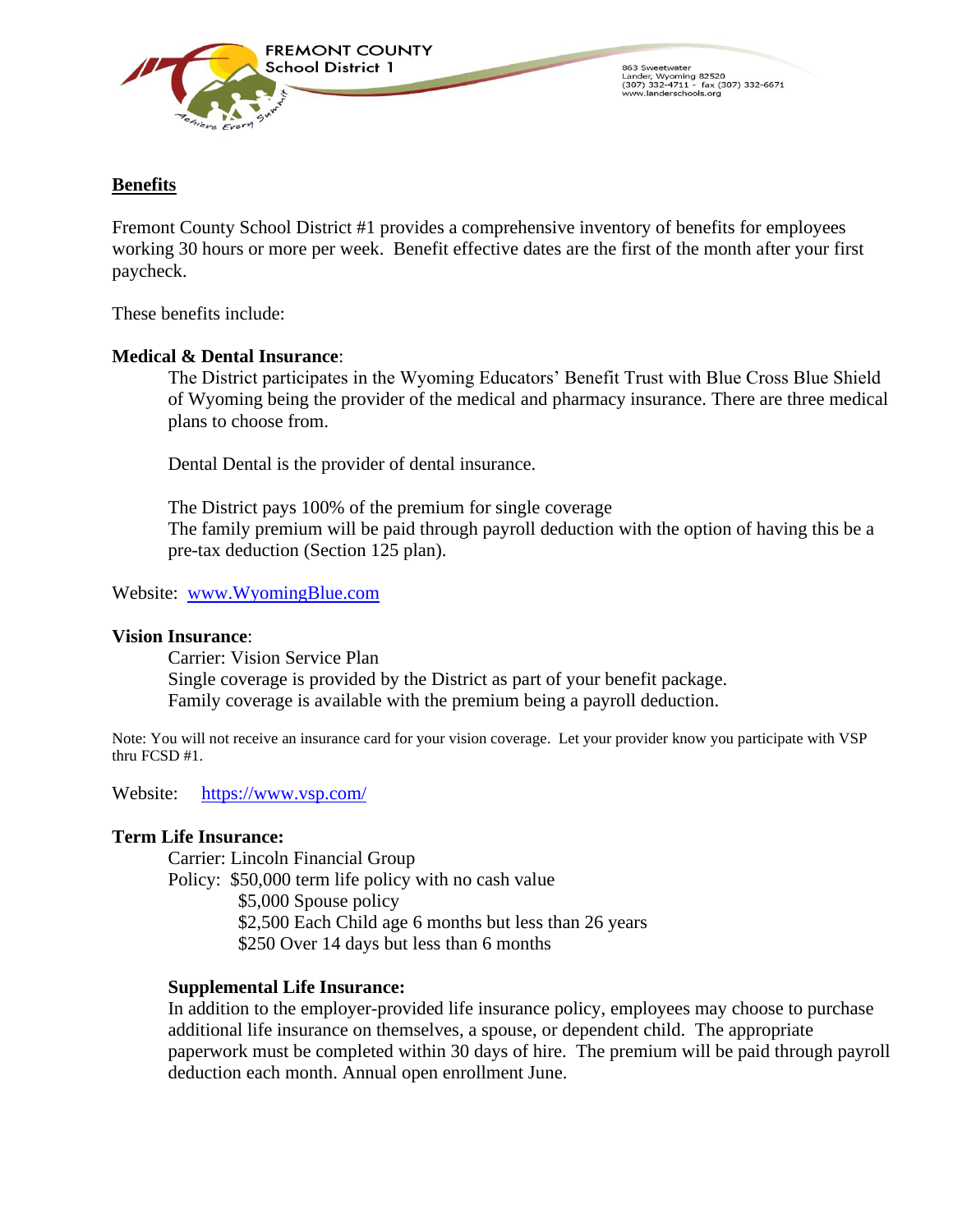

863 Sweetwate oob Sweetwater<br>Lander, Wyoming 82520<br>(307) 332-4711 - fax (307) 332-6671<br>www.landerschools.org

# **Benefits**

Fremont County School District #1 provides a comprehensive inventory of benefits for employees working 30 hours or more per week. Benefit effective dates are the first of the month after your first paycheck.

These benefits include:

## **Medical & Dental Insurance**:

The District participates in the Wyoming Educators' Benefit Trust with Blue Cross Blue Shield of Wyoming being the provider of the medical and pharmacy insurance. There are three medical plans to choose from.

Dental Dental is the provider of dental insurance.

The District pays 100% of the premium for single coverage The family premium will be paid through payroll deduction with the option of having this be a pre-tax deduction (Section 125 plan).

Website: [www.WyomingBlue.com](http://www.wyomingblue.com/)

#### **Vision Insurance**:

Carrier: Vision Service Plan Single coverage is provided by the District as part of your benefit package. Family coverage is available with the premium being a payroll deduction.

Note: You will not receive an insurance card for your vision coverage. Let your provider know you participate with VSP thru FCSD #1.

Website: <https://www.vsp.com/>

#### **Term Life Insurance:**

Carrier: Lincoln Financial Group Policy: \$50,000 term life policy with no cash value \$5,000 Spouse policy \$2,500 Each Child age 6 months but less than 26 years \$250 Over 14 days but less than 6 months

## **Supplemental Life Insurance:**

In addition to the employer-provided life insurance policy, employees may choose to purchase additional life insurance on themselves, a spouse, or dependent child. The appropriate paperwork must be completed within 30 days of hire. The premium will be paid through payroll deduction each month. Annual open enrollment June.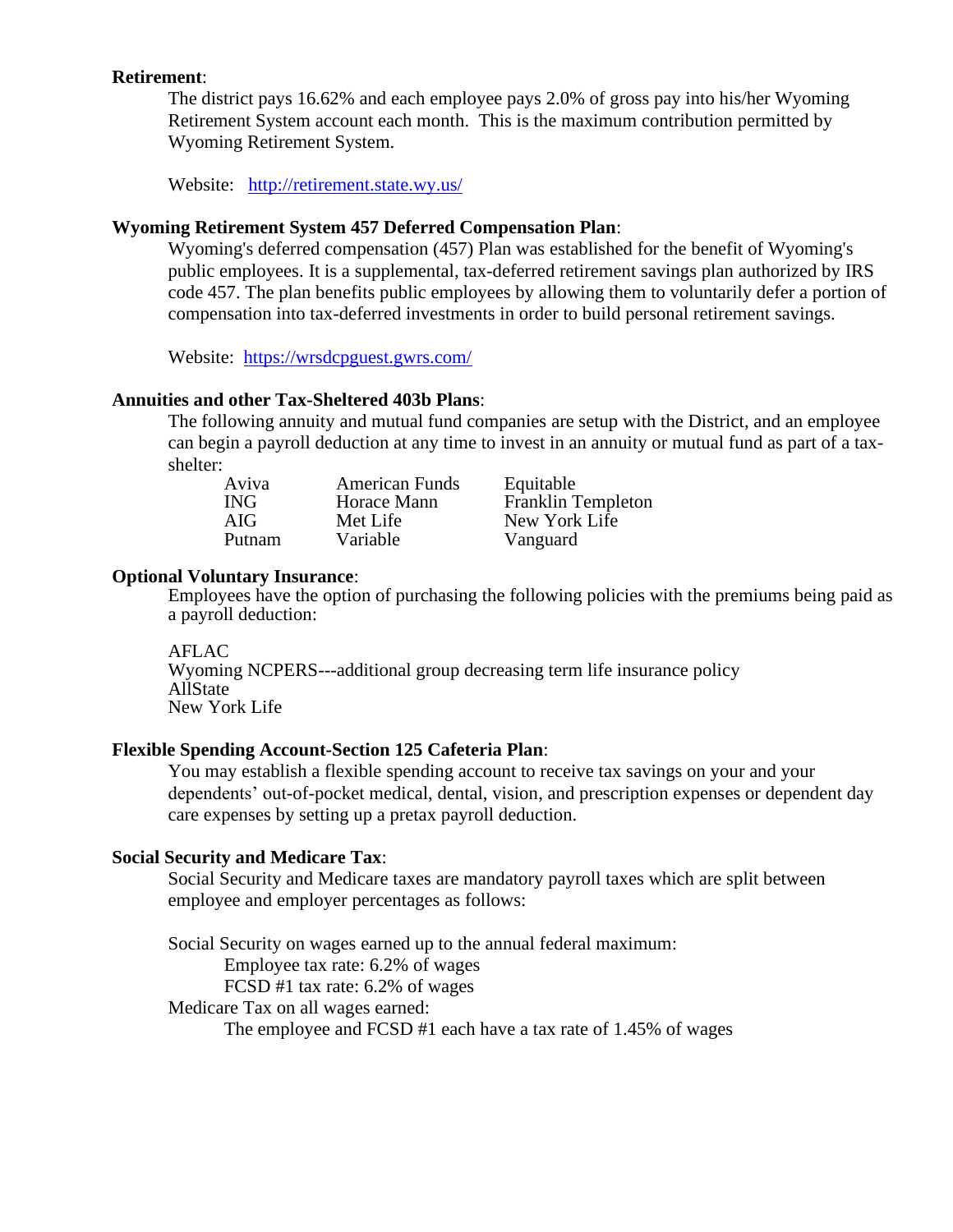## **Retirement**:

The district pays 16.62% and each employee pays 2.0% of gross pay into his/her Wyoming Retirement System account each month. This is the maximum contribution permitted by Wyoming Retirement System.

Website: <http://retirement.state.wy.us/>

#### **Wyoming Retirement System 457 Deferred Compensation Plan**:

Wyoming's deferred compensation (457) Plan was established for the benefit of Wyoming's public employees. It is a supplemental, tax-deferred retirement savings plan authorized by IRS code 457. The plan benefits public employees by allowing them to voluntarily defer a portion of compensation into tax-deferred investments in order to build personal retirement savings.

Website: <https://wrsdcpguest.gwrs.com/>

#### **Annuities and other Tax-Sheltered 403b Plans**:

The following annuity and mutual fund companies are setup with the District, and an employee can begin a payroll deduction at any time to invest in an annuity or mutual fund as part of a taxshelter:

| Aviva      | <b>American Funds</b> | Equitable                 |
|------------|-----------------------|---------------------------|
| <b>ING</b> | Horace Mann           | <b>Franklin Templeton</b> |
| AIG        | Met Life              | New York Life             |
| Putnam     | Variable              | Vanguard                  |

## **Optional Voluntary Insurance**:

Employees have the option of purchasing the following policies with the premiums being paid as a payroll deduction:

AFLAC Wyoming NCPERS---additional group decreasing term life insurance policy AllState New York Life

## **Flexible Spending Account-Section 125 Cafeteria Plan**:

You may establish a flexible spending account to receive tax savings on your and your dependents' out-of-pocket medical, dental, vision, and prescription expenses or dependent day care expenses by setting up a pretax payroll deduction.

#### **Social Security and Medicare Tax**:

Social Security and Medicare taxes are mandatory payroll taxes which are split between employee and employer percentages as follows:

Social Security on wages earned up to the annual federal maximum:

Employee tax rate: 6.2% of wages

FCSD #1 tax rate: 6.2% of wages

Medicare Tax on all wages earned:

The employee and FCSD #1 each have a tax rate of 1.45% of wages